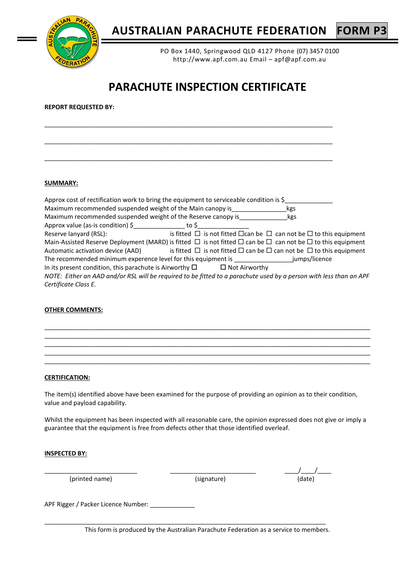

PO Box 1440, Springwood QLD 4127 Phone (07) 3457 0100 http://www.apf.com.au Email – apf@apf.com.au

# **PARACHUTE INSPECTION CERTIFICATE**

\_\_\_\_\_\_\_\_\_\_\_\_\_\_\_\_\_\_\_\_\_\_\_\_\_\_\_\_\_\_\_\_\_\_\_\_\_\_\_\_\_\_\_\_\_\_\_\_\_\_\_\_\_\_\_\_\_\_\_\_\_\_\_\_\_\_\_\_\_\_\_\_\_\_\_\_\_\_\_\_\_\_\_\_

\_\_\_\_\_\_\_\_\_\_\_\_\_\_\_\_\_\_\_\_\_\_\_\_\_\_\_\_\_\_\_\_\_\_\_\_\_\_\_\_\_\_\_\_\_\_\_\_\_\_\_\_\_\_\_\_\_\_\_\_\_\_\_\_\_\_\_\_\_\_\_\_\_\_\_\_\_\_\_\_\_\_\_\_

\_\_\_\_\_\_\_\_\_\_\_\_\_\_\_\_\_\_\_\_\_\_\_\_\_\_\_\_\_\_\_\_\_\_\_\_\_\_\_\_\_\_\_\_\_\_\_\_\_\_\_\_\_\_\_\_\_\_\_\_\_\_\_\_\_\_\_\_\_\_\_\_\_\_\_\_\_\_\_\_\_\_\_\_

| <b>REPORT REQUESTED BY:</b> |  |  |  |
|-----------------------------|--|--|--|
|-----------------------------|--|--|--|

# **SUMMARY:**

| Approx cost of rectification work to bring the equipment to serviceable condition is \$                                         |  |                                                                                         |
|---------------------------------------------------------------------------------------------------------------------------------|--|-----------------------------------------------------------------------------------------|
| Maximum recommended suspended weight of the Main canopy is                                                                      |  | kgs                                                                                     |
| Maximum recommended suspended weight of the Reserve canopy is                                                                   |  | kgs                                                                                     |
| Approx value (as-is condition) $\frac{1}{2}$ to $\frac{1}{2}$                                                                   |  |                                                                                         |
| Reserve lanyard (RSL):                                                                                                          |  | is fitted $\Box$ is not fitted $\Box$ can be $\Box$ can not be $\Box$ to this equipment |
| Main-Assisted Reserve Deployment (MARD) is fitted $\Box$ is not fitted $\Box$ can be $\Box$ can not be $\Box$ to this equipment |  |                                                                                         |
| Automatic activation device (AAD) is fitted $\Box$ is not fitted $\Box$ can be $\Box$ can not be $\Box$ to this equipment       |  |                                                                                         |
| The recommended minimum experence level for this equipment is fumps/licence                                                     |  |                                                                                         |
| In its present condition, this parachute is Airworthy $\square$ $\square$ Not Airworthy                                         |  |                                                                                         |
| NOTE: Either an AAD and/or RSL will be required to be fitted to a parachute used by a person with less than an APF              |  |                                                                                         |
| Certificate Class E.                                                                                                            |  |                                                                                         |

### **OTHER COMMENTS:**



# **CERTIFICATION:**

The item(s) identified above have been examined for the purpose of providing an opinion as to their condition, value and payload capability.

Whilst the equipment has been inspected with all reasonable care, the opinion expressed does not give or imply a guarantee that the equipment is free from defects other that those identified overleaf.

### **INSPECTED BY:**

(printed name) and the contract of the contract of the contract of the contract of the contract of the contract of the contract of the contract of the contract of the contract of the contract of the contract of the contrac

\_\_\_\_\_\_\_\_\_\_\_\_\_\_\_\_\_\_\_\_\_\_\_\_\_\_\_ \_\_\_\_\_\_\_\_\_\_\_\_\_\_\_\_\_\_\_\_\_\_\_\_\_ \_\_\_\_/\_\_\_\_/\_\_\_\_

APF Rigger / Packer Licence Number: \_\_\_\_\_\_\_\_\_\_\_\_\_\_

This form is produced by the Australian Parachute Federation as a service to members.

\_\_\_\_\_\_\_\_\_\_\_\_\_\_\_\_\_\_\_\_\_\_\_\_\_\_\_\_\_\_\_\_\_\_\_\_\_\_\_\_\_\_\_\_\_\_\_\_\_\_\_\_\_\_\_\_\_\_\_\_\_\_\_\_\_\_\_\_\_\_\_\_\_\_\_\_\_\_\_\_\_\_